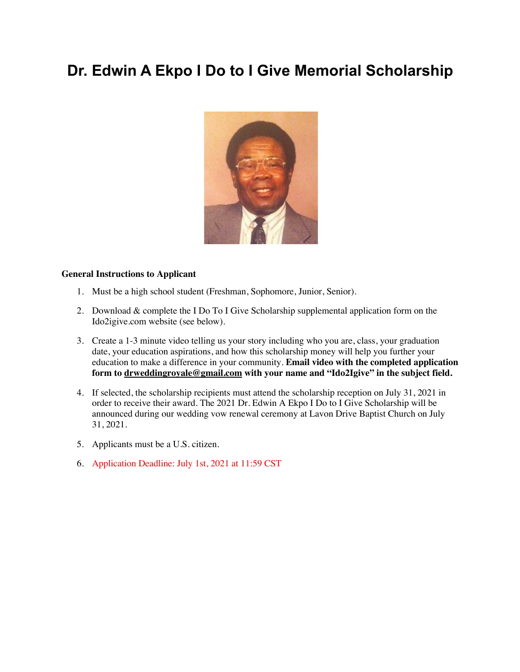# **Dr. Edwin A Ekpo I Do to I Give Memorial Scholarship**



#### **General Instructions to Applicant**

- 1. Must be a high school student (Freshman, Sophomore, Junior, Senior).
- 2. Download & complete the I Do To I Give Scholarship supplemental application form on the Ido2igive.com website (see below).
- 3. Create a 1-3 minute video telling us your story including who you are, class, your graduation date, your education aspirations, and how this scholarship money will help you further your education to make a difference in your community. **Email video with the completed application form to drweddingroyale@gmail.com with your name and "Ido2Igive" in the subject field.**
- 4. If selected, the scholarship recipients must attend the scholarship reception on July 31, 2021 in order to receive their award. The 2021 Dr. Edwin A Ekpo I Do to I Give Scholarship will be announced during our wedding vow renewal ceremony at Lavon Drive Baptist Church on July 31, 2021.
- 5. Applicants must be a U.S. citizen.
- 6. Application Deadline: July 1st, 2021 at 11:59 CST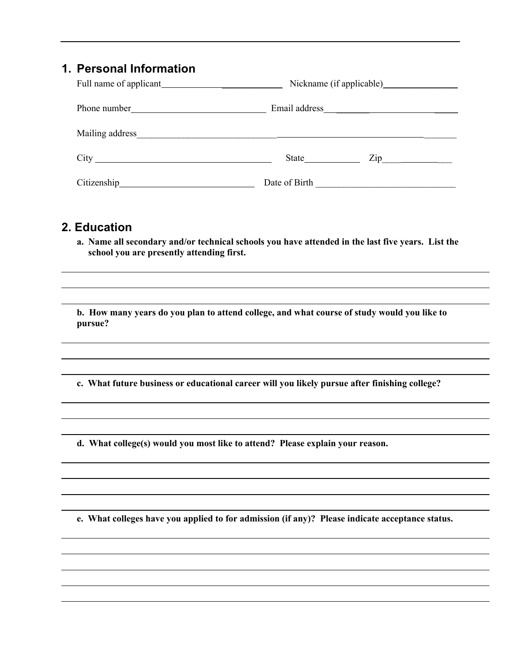# **1. Personal Information**

| Full name of applicant |                  |  |  |  |
|------------------------|------------------|--|--|--|
|                        |                  |  |  |  |
|                        |                  |  |  |  |
|                        | $\mathsf{Zip}\_$ |  |  |  |
|                        | Date of Birth    |  |  |  |

### **2. Education**

**a. Name all secondary and/or technical schools you have attended in the last five years. List the school you are presently attending first.** 

**b. How many years do you plan to attend college, and what course of study would you like to pursue?**

**c. What future business or educational career will you likely pursue after finishing college?**

**d. What college(s) would you most like to attend? Please explain your reason.**

**e. What colleges have you applied to for admission (if any)? Please indicate acceptance status.**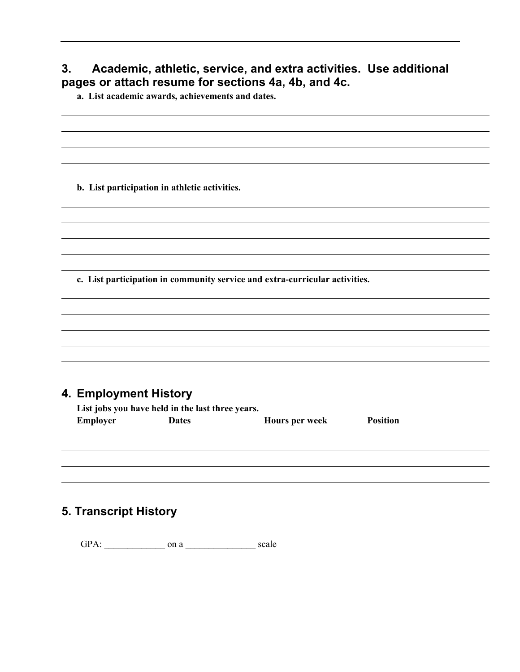# **3. Academic, athletic, service, and extra activities. Use additional pages or attach resume for sections 4a, 4b, and 4c.**

**a. List academic awards, achievements and dates.** 

**b. List participation in athletic activities.**

**c. List participation in community service and extra-curricular activities.**

### **4. Employment History**

| List jobs you have held in the last three years. |              |                |                 |  |
|--------------------------------------------------|--------------|----------------|-----------------|--|
| Employer                                         | <b>Dates</b> | Hours per week | <b>Position</b> |  |

# **5. Transcript History**

GPA: \_\_\_\_\_\_\_\_\_\_\_\_\_ on a \_\_\_\_\_\_\_\_\_\_\_\_\_\_\_ scale